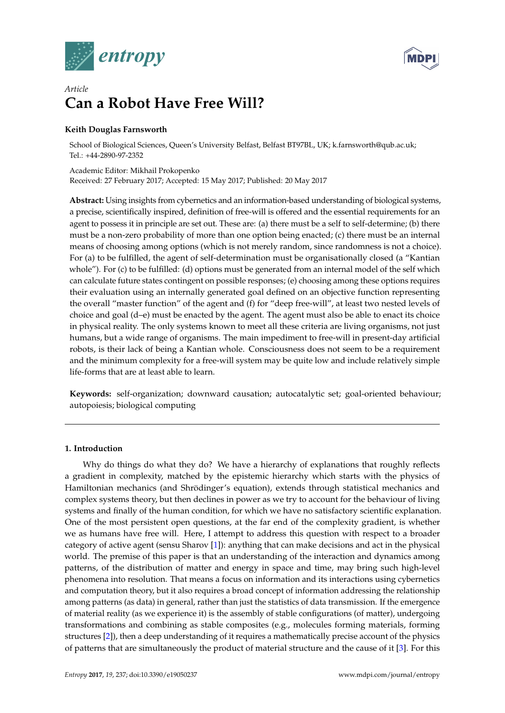



# *Article* **Can a Robot Have Free Will?**

# **Keith Douglas Farnsworth**

School of Biological Sciences, Queen's University Belfast, Belfast BT97BL, UK; k.farnsworth@qub.ac.uk; Tel.: +44-2890-97-2352

Academic Editor: Mikhail Prokopenko Received: 27 February 2017; Accepted: 15 May 2017; Published: 20 May 2017

**Abstract:** Using insights from cybernetics and an information-based understanding of biological systems, a precise, scientifically inspired, definition of free-will is offered and the essential requirements for an agent to possess it in principle are set out. These are: (a) there must be a self to self-determine; (b) there must be a non-zero probability of more than one option being enacted; (c) there must be an internal means of choosing among options (which is not merely random, since randomness is not a choice). For (a) to be fulfilled, the agent of self-determination must be organisationally closed (a "Kantian whole"). For (c) to be fulfilled: (d) options must be generated from an internal model of the self which can calculate future states contingent on possible responses; (e) choosing among these options requires their evaluation using an internally generated goal defined on an objective function representing the overall "master function" of the agent and (f) for "deep free-will", at least two nested levels of choice and goal (d–e) must be enacted by the agent. The agent must also be able to enact its choice in physical reality. The only systems known to meet all these criteria are living organisms, not just humans, but a wide range of organisms. The main impediment to free-will in present-day artificial robots, is their lack of being a Kantian whole. Consciousness does not seem to be a requirement and the minimum complexity for a free-will system may be quite low and include relatively simple life-forms that are at least able to learn.

**Keywords:** self-organization; downward causation; autocatalytic set; goal-oriented behaviour; autopoiesis; biological computing

# <span id="page-0-0"></span>**1. Introduction**

Why do things do what they do? We have a hierarchy of explanations that roughly reflects a gradient in complexity, matched by the epistemic hierarchy which starts with the physics of Hamiltonian mechanics (and Shrödinger's equation), extends through statistical mechanics and complex systems theory, but then declines in power as we try to account for the behaviour of living systems and finally of the human condition, for which we have no satisfactory scientific explanation. One of the most persistent open questions, at the far end of the complexity gradient, is whether we as humans have free will. Here, I attempt to address this question with respect to a broader category of active agent (sensu Sharov [\[1\]](#page-18-0)): anything that can make decisions and act in the physical world. The premise of this paper is that an understanding of the interaction and dynamics among patterns, of the distribution of matter and energy in space and time, may bring such high-level phenomena into resolution. That means a focus on information and its interactions using cybernetics and computation theory, but it also requires a broad concept of information addressing the relationship among patterns (as data) in general, rather than just the statistics of data transmission. If the emergence of material reality (as we experience it) is the assembly of stable configurations (of matter), undergoing transformations and combining as stable composites (e.g., molecules forming materials, forming structures [\[2\]](#page-18-1)), then a deep understanding of it requires a mathematically precise account of the physics of patterns that are simultaneously the product of material structure and the cause of it [\[3\]](#page-18-2). For this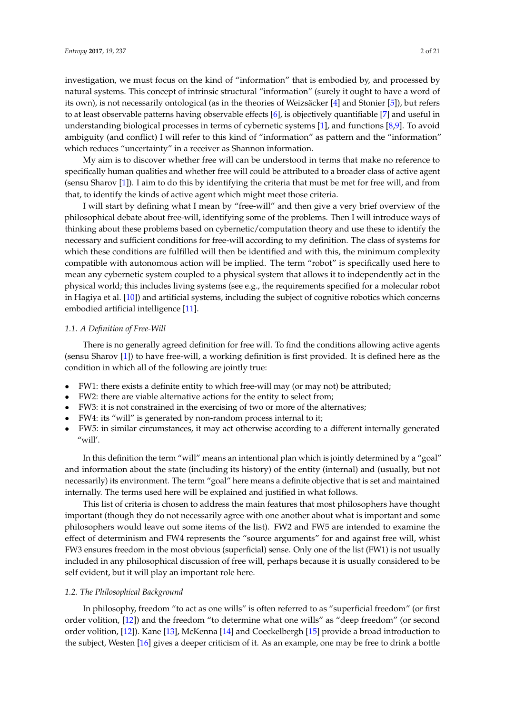investigation, we must focus on the kind of "information" that is embodied by, and processed by natural systems. This concept of intrinsic structural "information" (surely it ought to have a word of its own), is not necessarily ontological (as in the theories of Weizsäcker [\[4\]](#page-18-3) and Stonier [\[5\]](#page-18-4)), but refers to at least observable patterns having observable effects [\[6\]](#page-18-5), is objectively quantifiable [\[7\]](#page-18-6) and useful in understanding biological processes in terms of cybernetic systems [\[1\]](#page-18-0), and functions [\[8](#page-18-7)[,9\]](#page-18-8). To avoid ambiguity (and conflict) I will refer to this kind of "information" as pattern and the "information" which reduces "uncertainty" in a receiver as Shannon information.

My aim is to discover whether free will can be understood in terms that make no reference to specifically human qualities and whether free will could be attributed to a broader class of active agent (sensu Sharov [\[1\]](#page-18-0)). I aim to do this by identifying the criteria that must be met for free will, and from that, to identify the kinds of active agent which might meet those criteria.

I will start by defining what I mean by "free-will" and then give a very brief overview of the philosophical debate about free-will, identifying some of the problems. Then I will introduce ways of thinking about these problems based on cybernetic/computation theory and use these to identify the necessary and sufficient conditions for free-will according to my definition. The class of systems for which these conditions are fulfilled will then be identified and with this, the minimum complexity compatible with autonomous action will be implied. The term "robot" is specifically used here to mean any cybernetic system coupled to a physical system that allows it to independently act in the physical world; this includes living systems (see e.g., the requirements specified for a molecular robot in Hagiya et al. [\[10\]](#page-18-9)) and artificial systems, including the subject of cognitive robotics which concerns embodied artificial intelligence [\[11\]](#page-18-10).

## *1.1. A Definition of Free-Will*

There is no generally agreed definition for free will. To find the conditions allowing active agents (sensu Sharov [\[1\]](#page-18-0)) to have free-will, a working definition is first provided. It is defined here as the condition in which all of the following are jointly true:

- FW1: there exists a definite entity to which free-will may (or may not) be attributed;
- FW2: there are viable alternative actions for the entity to select from;
- FW3: it is not constrained in the exercising of two or more of the alternatives;
- FW4: its "will" is generated by non-random process internal to it;
- FW5: in similar circumstances, it may act otherwise according to a different internally generated "will'.

In this definition the term "will" means an intentional plan which is jointly determined by a "goal" and information about the state (including its history) of the entity (internal) and (usually, but not necessarily) its environment. The term "goal" here means a definite objective that is set and maintained internally. The terms used here will be explained and justified in what follows.

This list of criteria is chosen to address the main features that most philosophers have thought important (though they do not necessarily agree with one another about what is important and some philosophers would leave out some items of the list). FW2 and FW5 are intended to examine the effect of determinism and FW4 represents the "source arguments" for and against free will, whist FW3 ensures freedom in the most obvious (superficial) sense. Only one of the list (FW1) is not usually included in any philosophical discussion of free will, perhaps because it is usually considered to be self evident, but it will play an important role here.

#### *1.2. The Philosophical Background*

In philosophy, freedom "to act as one wills" is often referred to as "superficial freedom" (or first order volition, [\[12\]](#page-18-11)) and the freedom "to determine what one wills" as "deep freedom" (or second order volition, [\[12\]](#page-18-11)). Kane [\[13\]](#page-18-12), McKenna [\[14\]](#page-18-13) and Coeckelbergh [\[15\]](#page-18-14) provide a broad introduction to the subject, Westen [\[16\]](#page-18-15) gives a deeper criticism of it. As an example, one may be free to drink a bottle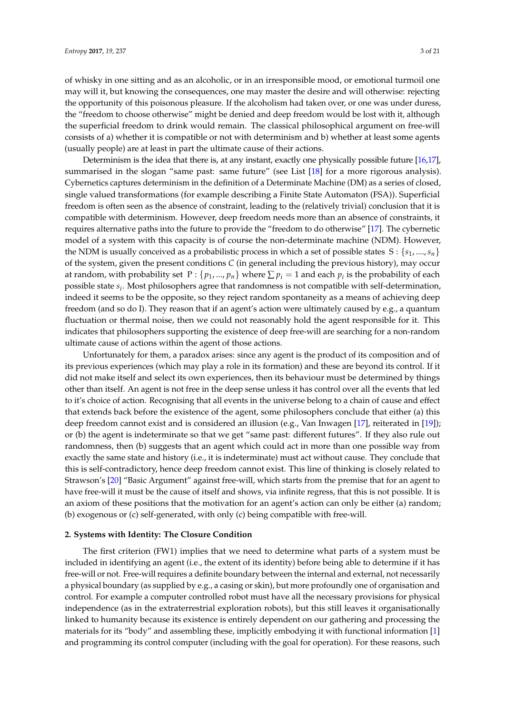of whisky in one sitting and as an alcoholic, or in an irresponsible mood, or emotional turmoil one may will it, but knowing the consequences, one may master the desire and will otherwise: rejecting the opportunity of this poisonous pleasure. If the alcoholism had taken over, or one was under duress, the "freedom to choose otherwise" might be denied and deep freedom would be lost with it, although the superficial freedom to drink would remain. The classical philosophical argument on free-will consists of a) whether it is compatible or not with determinism and b) whether at least some agents (usually people) are at least in part the ultimate cause of their actions.

Determinism is the idea that there is, at any instant, exactly one physically possible future [\[16](#page-18-15)[,17\]](#page-18-16), summarised in the slogan "same past: same future" (see List [\[18\]](#page-18-17) for a more rigorous analysis). Cybernetics captures determinism in the definition of a Determinate Machine (DM) as a series of closed, single valued transformations (for example describing a Finite State Automaton (FSA)). Superficial freedom is often seen as the absence of constraint, leading to the (relatively trivial) conclusion that it is compatible with determinism. However, deep freedom needs more than an absence of constraints, it requires alternative paths into the future to provide the "freedom to do otherwise" [\[17\]](#page-18-16). The cybernetic model of a system with this capacity is of course the non-determinate machine (NDM). However, the NDM is usually conceived as a probabilistic process in which a set of possible states  $S: \{s_1, ..., s_n\}$ of the system, given the present conditions *C* (in general including the previous history), may occur at random, with probability set  $P: \{p_1, ..., p_n\}$  where  $\sum p_i = 1$  and each  $p_i$  is the probability of each possible state *s<sup>i</sup>* . Most philosophers agree that randomness is not compatible with self-determination, indeed it seems to be the opposite, so they reject random spontaneity as a means of achieving deep freedom (and so do I). They reason that if an agent's action were ultimately caused by e.g., a quantum fluctuation or thermal noise, then we could not reasonably hold the agent responsible for it. This indicates that philosophers supporting the existence of deep free-will are searching for a non-random ultimate cause of actions within the agent of those actions.

Unfortunately for them, a paradox arises: since any agent is the product of its composition and of its previous experiences (which may play a role in its formation) and these are beyond its control. If it did not make itself and select its own experiences, then its behaviour must be determined by things other than itself. An agent is not free in the deep sense unless it has control over all the events that led to it's choice of action. Recognising that all events in the universe belong to a chain of cause and effect that extends back before the existence of the agent, some philosophers conclude that either (a) this deep freedom cannot exist and is considered an illusion (e.g., Van Inwagen [\[17\]](#page-18-16), reiterated in [\[19\]](#page-18-18)); or (b) the agent is indeterminate so that we get "same past: different futures". If they also rule out randomness, then (b) suggests that an agent which could act in more than one possible way from exactly the same state and history (i.e., it is indeterminate) must act without cause. They conclude that this is self-contradictory, hence deep freedom cannot exist. This line of thinking is closely related to Strawson's [\[20\]](#page-18-19) "Basic Argument" against free-will, which starts from the premise that for an agent to have free-will it must be the cause of itself and shows, via infinite regress, that this is not possible. It is an axiom of these positions that the motivation for an agent's action can only be either (a) random; (b) exogenous or (c) self-generated, with only (c) being compatible with free-will.

## **2. Systems with Identity: The Closure Condition**

The first criterion (FW1) implies that we need to determine what parts of a system must be included in identifying an agent (i.e., the extent of its identity) before being able to determine if it has free-will or not. Free-will requires a definite boundary between the internal and external, not necessarily a physical boundary (as supplied by e.g., a casing or skin), but more profoundly one of organisation and control. For example a computer controlled robot must have all the necessary provisions for physical independence (as in the extraterrestrial exploration robots), but this still leaves it organisationally linked to humanity because its existence is entirely dependent on our gathering and processing the materials for its "body" and assembling these, implicitly embodying it with functional information [\[1\]](#page-18-0) and programming its control computer (including with the goal for operation). For these reasons, such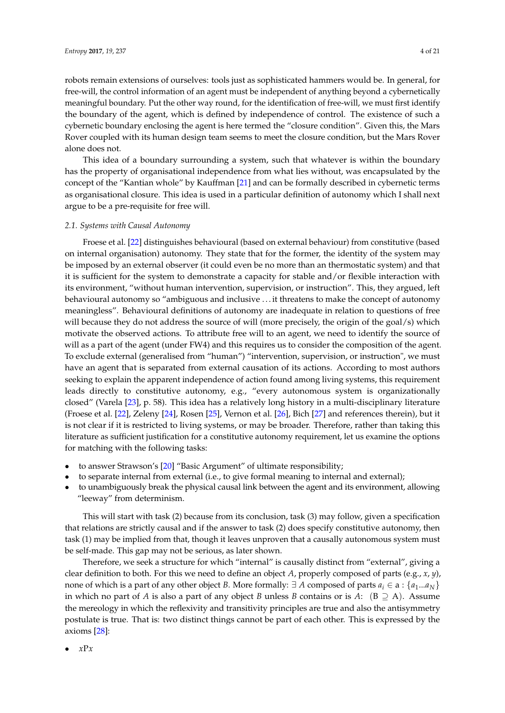robots remain extensions of ourselves: tools just as sophisticated hammers would be. In general, for free-will, the control information of an agent must be independent of anything beyond a cybernetically meaningful boundary. Put the other way round, for the identification of free-will, we must first identify the boundary of the agent, which is defined by independence of control. The existence of such a cybernetic boundary enclosing the agent is here termed the "closure condition". Given this, the Mars Rover coupled with its human design team seems to meet the closure condition, but the Mars Rover alone does not.

This idea of a boundary surrounding a system, such that whatever is within the boundary has the property of organisational independence from what lies without, was encapsulated by the concept of the "Kantian whole" by Kauffman [\[21\]](#page-18-20) and can be formally described in cybernetic terms as organisational closure. This idea is used in a particular definition of autonomy which I shall next argue to be a pre-requisite for free will.

## *2.1. Systems with Causal Autonomy*

Froese et al. [\[22\]](#page-18-21) distinguishes behavioural (based on external behaviour) from constitutive (based on internal organisation) autonomy. They state that for the former, the identity of the system may be imposed by an external observer (it could even be no more than an thermostatic system) and that it is sufficient for the system to demonstrate a capacity for stable and/or flexible interaction with its environment, "without human intervention, supervision, or instruction". This, they argued, left behavioural autonomy so "ambiguous and inclusive . . . it threatens to make the concept of autonomy meaningless". Behavioural definitions of autonomy are inadequate in relation to questions of free will because they do not address the source of will (more precisely, the origin of the goal/s) which motivate the observed actions. To attribute free will to an agent, we need to identify the source of will as a part of the agent (under FW4) and this requires us to consider the composition of the agent. To exclude external (generalised from "human") "intervention, supervision, or instruction", we must have an agent that is separated from external causation of its actions. According to most authors seeking to explain the apparent independence of action found among living systems, this requirement leads directly to constitutive autonomy, e.g., "every autonomous system is organizationally closed" (Varela [\[23\]](#page-18-22), p. 58). This idea has a relatively long history in a multi-disciplinary literature (Froese et al. [\[22\]](#page-18-21), Zeleny [\[24\]](#page-18-23), Rosen [\[25\]](#page-18-24), Vernon et al. [\[26\]](#page-18-25), Bich [\[27\]](#page-18-26) and references therein), but it is not clear if it is restricted to living systems, or may be broader. Therefore, rather than taking this literature as sufficient justification for a constitutive autonomy requirement, let us examine the options for matching with the following tasks:

- to answer Strawson's [\[20\]](#page-18-19) "Basic Argument" of ultimate responsibility;
- to separate internal from external (i.e., to give formal meaning to internal and external);
- to unambiguously break the physical causal link between the agent and its environment, allowing "leeway" from determinism.

This will start with task (2) because from its conclusion, task (3) may follow, given a specification that relations are strictly causal and if the answer to task (2) does specify constitutive autonomy, then task (1) may be implied from that, though it leaves unproven that a causally autonomous system must be self-made. This gap may not be serious, as later shown.

Therefore, we seek a structure for which "internal" is causally distinct from "external", giving a clear definition to both. For this we need to define an object *A*, properly composed of parts (e.g., *x*, *y*), none of which is a part of any other object *B*. More formally:  $\exists A$  composed of parts  $a_i \in \{a_1...a_N\}$ in which no part of *A* is also a part of any object *B* unless *B* contains or is *A*: ( $B \supseteq A$ ). Assume the mereology in which the reflexivity and transitivity principles are true and also the antisymmetry postulate is true. That is: two distinct things cannot be part of each other. This is expressed by the axioms [\[28\]](#page-18-27):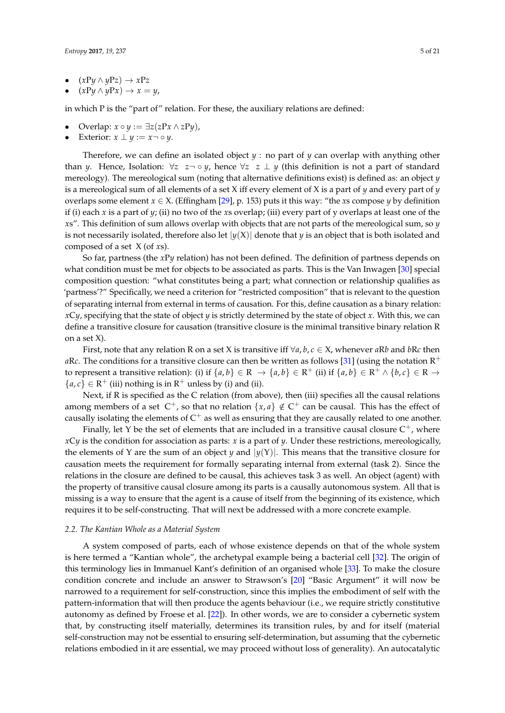- $(xPy \land yPz) \to xPz$ <br>•  $(xPy \land yPx) \to x =$
- $(xPy \wedge yPx) \rightarrow x = y$ ,

in which P is the "part of" relation. For these, the auxiliary relations are defined:

- Overlap:  $x \circ y := \exists z (zPx \land zPy)$ ,
- Exterior:  $x \perp y := x \neg \circ y$ .

Therefore, we can define an isolated object *y* : no part of *y* can overlap with anything other than *y*. Hence, Isolation:  $\forall z \ z \neg \circ y$ , hence  $\forall z \ z \perp y$  (this definition is not a part of standard mereology). The mereological sum (noting that alternative definitions exist) is defined as: an object *y* is a mereological sum of all elements of a set X iff every element of X is a part of *y* and every part of *y* overlaps some element  $x \in X$ . (Effingham [\[29\]](#page-18-28), p. 153) puts it this way: "the *x*s compose *y* by definition if (i) each *x* is a part of *y*; (ii) no two of the *x*s overlap; (iii) every part of y overlaps at least one of the *x*s". This definition of sum allows overlap with objects that are not parts of the mereological sum, so *y* is not necessarily isolated, therefore also let  $|y(X)|$  denote that *y* is an object that is both isolated and composed of a set X (of *x*s).

So far, partness (the *x*P*y* relation) has not been defined. The definition of partness depends on what condition must be met for objects to be associated as parts. This is the Van Inwagen [\[30\]](#page-18-29) special composition question: "what constitutes being a part; what connection or relationship qualifies as 'partness'?" Specifically, we need a criterion for "restricted composition" that is relevant to the question of separating internal from external in terms of causation. For this, define causation as a binary relation: *x*C*y*, specifying that the state of object *y* is strictly determined by the state of object *x*. With this, we can define a transitive closure for causation (transitive closure is the minimal transitive binary relation R on a set X).

First, note that any relation R on a set X is transitive iff  $\forall a, b, c \in X$ , whenever *a*R*b* and *b*R*c* then *aRc*. The conditions for a transitive closure can then be written as follows [\[31\]](#page-18-30) (using the notation  $R^+$ to represent a transitive relation): (i) if  $\{a, b\} \in \mathbb{R} \to \{a, b\} \in \mathbb{R}^+$  (ii) if  $\{a, b\} \in \mathbb{R}^+ \land \{b, c\} \in \mathbb{R} \to$  ${a, c} \in \mathbb{R}^+$  (iii) nothing is in  $\mathbb{R}^+$  unless by (i) and (ii).

Next, if R is specified as the C relation (from above), then (iii) specifies all the causal relations among members of a set  $C^+$ , so that no relation  $\{x, a\} \notin C^+$  can be causal. This has the effect of causally isolating the elements of  $C^+$  as well as ensuring that they are causally related to one another.

Finally, let Y be the set of elements that are included in a transitive causal closure  $\mathsf{C}^+$ , where *x*C*y* is the condition for association as parts: *x* is a part of *y*. Under these restrictions, mereologically, the elements of *Y* are the sum of an object *y* and  $|y(Y)|$ . This means that the transitive closure for causation meets the requirement for formally separating internal from external (task 2). Since the relations in the closure are defined to be causal, this achieves task 3 as well. An object (agent) with the property of transitive causal closure among its parts is a causally autonomous system. All that is missing is a way to ensure that the agent is a cause of itself from the beginning of its existence, which requires it to be self-constructing. That will next be addressed with a more concrete example.

#### *2.2. The Kantian Whole as a Material System*

A system composed of parts, each of whose existence depends on that of the whole system is here termed a "Kantian whole", the archetypal example being a bacterial cell [\[32\]](#page-18-31). The origin of this terminology lies in Immanuel Kant's definition of an organised whole [\[33\]](#page-18-32). To make the closure condition concrete and include an answer to Strawson's [\[20\]](#page-18-19) "Basic Argument" it will now be narrowed to a requirement for self-construction, since this implies the embodiment of self with the pattern-information that will then produce the agents behaviour (i.e., we require strictly constitutive autonomy as defined by Froese et al. [\[22\]](#page-18-21)). In other words, we are to consider a cybernetic system that, by constructing itself materially, determines its transition rules, by and for itself (material self-construction may not be essential to ensuring self-determination, but assuming that the cybernetic relations embodied in it are essential, we may proceed without loss of generality). An autocatalytic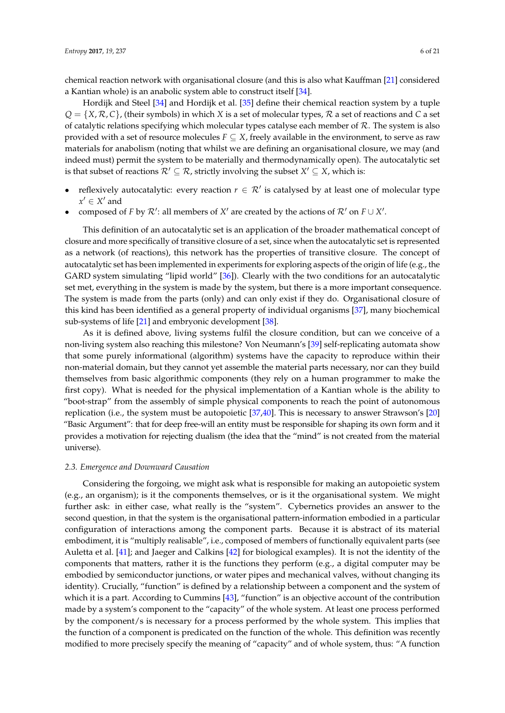chemical reaction network with organisational closure (and this is also what Kauffman [\[21\]](#page-18-20) considered a Kantian whole) is an anabolic system able to construct itself [\[34\]](#page-18-33).

Hordijk and Steel [\[34\]](#page-18-33) and Hordijk et al. [\[35\]](#page-18-34) define their chemical reaction system by a tuple *Q* = {*X*, R, *C*}, (their symbols) in which *X* is a set of molecular types, R a set of reactions and *C* a set of catalytic relations specifying which molecular types catalyse each member of  $R$ . The system is also provided with a set of resource molecules  $F \subseteq X$ , freely available in the environment, to serve as raw materials for anabolism (noting that whilst we are defining an organisational closure, we may (and indeed must) permit the system to be materially and thermodynamically open). The autocatalytic set is that subset of reactions  $\mathcal{R}' \subseteq \mathcal{R}$ , strictly involving the subset  $X' \subseteq X$ , which is:

- reflexively autocatalytic: every reaction  $r \in \mathcal{R}'$  is catalysed by at least one of molecular type  $x' \in X'$  and
- composed of *F* by  $\mathcal{R}'$ : all members of  $X'$  are created by the actions of  $\mathcal{R}'$  on  $F \cup X'$ .

This definition of an autocatalytic set is an application of the broader mathematical concept of closure and more specifically of transitive closure of a set, since when the autocatalytic set is represented as a network (of reactions), this network has the properties of transitive closure. The concept of autocatalytic set has been implemented in experiments for exploring aspects of the origin of life (e.g., the GARD system simulating "lipid world" [\[36\]](#page-19-0)). Clearly with the two conditions for an autocatalytic set met, everything in the system is made by the system, but there is a more important consequence. The system is made from the parts (only) and can only exist if they do. Organisational closure of this kind has been identified as a general property of individual organisms [\[37\]](#page-19-1), many biochemical sub-systems of life [\[21\]](#page-18-20) and embryonic development [\[38\]](#page-19-2).

As it is defined above, living systems fulfil the closure condition, but can we conceive of a non-living system also reaching this milestone? Von Neumann's [\[39\]](#page-19-3) self-replicating automata show that some purely informational (algorithm) systems have the capacity to reproduce within their non-material domain, but they cannot yet assemble the material parts necessary, nor can they build themselves from basic algorithmic components (they rely on a human programmer to make the first copy). What is needed for the physical implementation of a Kantian whole is the ability to "boot-strap" from the assembly of simple physical components to reach the point of autonomous replication (i.e., the system must be autopoietic [\[37,](#page-19-1)[40\]](#page-19-4). This is necessary to answer Strawson's [\[20\]](#page-18-19) "Basic Argument": that for deep free-will an entity must be responsible for shaping its own form and it provides a motivation for rejecting dualism (the idea that the "mind" is not created from the material universe).

## *2.3. Emergence and Downward Causation*

Considering the forgoing, we might ask what is responsible for making an autopoietic system (e.g., an organism); is it the components themselves, or is it the organisational system. We might further ask: in either case, what really is the "system". Cybernetics provides an answer to the second question, in that the system is the organisational pattern-information embodied in a particular configuration of interactions among the component parts. Because it is abstract of its material embodiment, it is "multiply realisable", i.e., composed of members of functionally equivalent parts (see Auletta et al. [\[41\]](#page-19-5); and Jaeger and Calkins [\[42\]](#page-19-6) for biological examples). It is not the identity of the components that matters, rather it is the functions they perform (e.g., a digital computer may be embodied by semiconductor junctions, or water pipes and mechanical valves, without changing its identity). Crucially, "function" is defined by a relationship between a component and the system of which it is a part. According to Cummins [\[43\]](#page-19-7), "function" is an objective account of the contribution made by a system's component to the "capacity" of the whole system. At least one process performed by the component/s is necessary for a process performed by the whole system. This implies that the function of a component is predicated on the function of the whole. This definition was recently modified to more precisely specify the meaning of "capacity" and of whole system, thus: "A function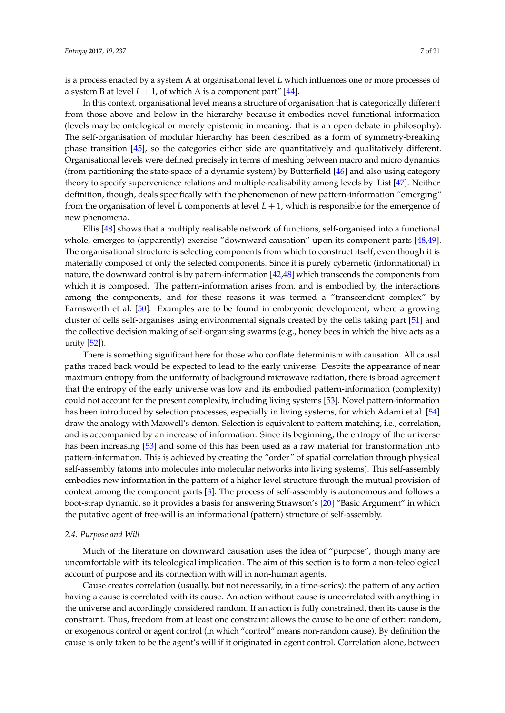is a process enacted by a system A at organisational level *L* which influences one or more processes of a system B at level  $L + 1$ , of which A is a component part<sup>"</sup> [\[44\]](#page-19-8).

In this context, organisational level means a structure of organisation that is categorically different from those above and below in the hierarchy because it embodies novel functional information (levels may be ontological or merely epistemic in meaning: that is an open debate in philosophy). The self-organisation of modular hierarchy has been described as a form of symmetry-breaking phase transition [\[45\]](#page-19-9), so the categories either side are quantitatively and qualitatively different. Organisational levels were defined precisely in terms of meshing between macro and micro dynamics (from partitioning the state-space of a dynamic system) by Butterfield [\[46\]](#page-19-10) and also using category theory to specify supervenience relations and multiple-realisability among levels by List [\[47\]](#page-19-11). Neither definition, though, deals specifically with the phenomenon of new pattern-information "emerging" from the organisation of level *L* components at level *L* + 1, which is responsible for the emergence of new phenomena.

Ellis [\[48\]](#page-19-12) shows that a multiply realisable network of functions, self-organised into a functional whole, emerges to (apparently) exercise "downward causation" upon its component parts [\[48,](#page-19-12)[49\]](#page-19-13). The organisational structure is selecting components from which to construct itself, even though it is materially composed of only the selected components. Since it is purely cybernetic (informational) in nature, the downward control is by pattern-information [\[42](#page-19-6)[,48\]](#page-19-12) which transcends the components from which it is composed. The pattern-information arises from, and is embodied by, the interactions among the components, and for these reasons it was termed a "transcendent complex" by Farnsworth et al. [\[50\]](#page-19-14). Examples are to be found in embryonic development, where a growing cluster of cells self-organises using environmental signals created by the cells taking part [\[51\]](#page-19-15) and the collective decision making of self-organising swarms (e.g., honey bees in which the hive acts as a unity [\[52\]](#page-19-16)).

There is something significant here for those who conflate determinism with causation. All causal paths traced back would be expected to lead to the early universe. Despite the appearance of near maximum entropy from the uniformity of background microwave radiation, there is broad agreement that the entropy of the early universe was low and its embodied pattern-information (complexity) could not account for the present complexity, including living systems [\[53\]](#page-19-17). Novel pattern-information has been introduced by selection processes, especially in living systems, for which Adami et al. [\[54\]](#page-19-18) draw the analogy with Maxwell's demon. Selection is equivalent to pattern matching, i.e., correlation, and is accompanied by an increase of information. Since its beginning, the entropy of the universe has been increasing [\[53\]](#page-19-17) and some of this has been used as a raw material for transformation into pattern-information. This is achieved by creating the "order" of spatial correlation through physical self-assembly (atoms into molecules into molecular networks into living systems). This self-assembly embodies new information in the pattern of a higher level structure through the mutual provision of context among the component parts [\[3\]](#page-18-2). The process of self-assembly is autonomous and follows a boot-strap dynamic, so it provides a basis for answering Strawson's [\[20\]](#page-18-19) "Basic Argument" in which the putative agent of free-will is an informational (pattern) structure of self-assembly.

#### *2.4. Purpose and Will*

Much of the literature on downward causation uses the idea of "purpose", though many are uncomfortable with its teleological implication. The aim of this section is to form a non-teleological account of purpose and its connection with will in non-human agents.

Cause creates correlation (usually, but not necessarily, in a time-series): the pattern of any action having a cause is correlated with its cause. An action without cause is uncorrelated with anything in the universe and accordingly considered random. If an action is fully constrained, then its cause is the constraint. Thus, freedom from at least one constraint allows the cause to be one of either: random, or exogenous control or agent control (in which "control" means non-random cause). By definition the cause is only taken to be the agent's will if it originated in agent control. Correlation alone, between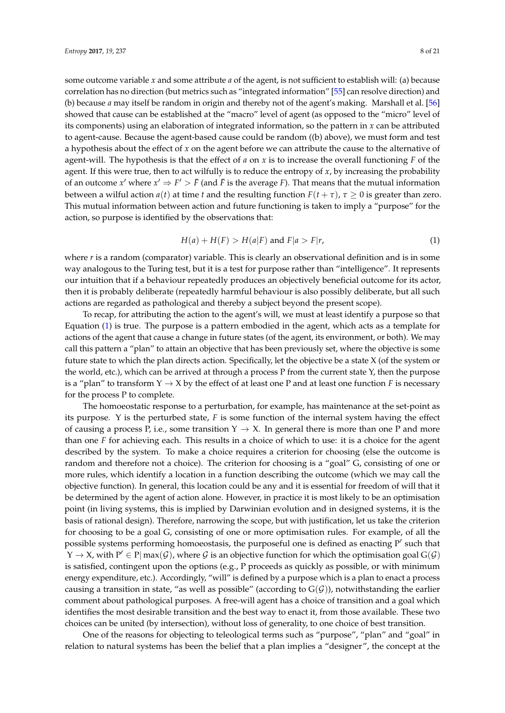some outcome variable *x* and some attribute *a* of the agent, is not sufficient to establish will: (a) because correlation has no direction (but metrics such as "integrated information" [\[55\]](#page-19-19) can resolve direction) and (b) because *a* may itself be random in origin and thereby not of the agent's making. Marshall et al. [\[56\]](#page-19-20) showed that cause can be established at the "macro" level of agent (as opposed to the "micro" level of its components) using an elaboration of integrated information, so the pattern in *x* can be attributed to agent-cause. Because the agent-based cause could be random ((b) above), we must form and test a hypothesis about the effect of *x* on the agent before we can attribute the cause to the alternative of agent-will. The hypothesis is that the effect of *a* on *x* is to increase the overall functioning *F* of the agent. If this were true, then to act wilfully is to reduce the entropy of  $x$ , by increasing the probability of an outcome  $x'$  where  $x' \Rightarrow F' > \bar{F}$  (and  $\bar{F}$  is the average *F*). That means that the mutual information between a wilful action  $a(t)$  at time *t* and the resulting function  $F(t + \tau)$ ,  $\tau \ge 0$  is greater than zero. This mutual information between action and future functioning is taken to imply a "purpose" for the action, so purpose is identified by the observations that:

<span id="page-7-0"></span>
$$
H(a) + H(F) > H(a|F) \text{ and } F|a > F|r,
$$
\n<sup>(1)</sup>

where *r* is a random (comparator) variable. This is clearly an observational definition and is in some way analogous to the Turing test, but it is a test for purpose rather than "intelligence". It represents our intuition that if a behaviour repeatedly produces an objectively beneficial outcome for its actor, then it is probably deliberate (repeatedly harmful behaviour is also possibly deliberate, but all such actions are regarded as pathological and thereby a subject beyond the present scope).

To recap, for attributing the action to the agent's will, we must at least identify a purpose so that Equation [\(1\)](#page-7-0) is true. The purpose is a pattern embodied in the agent, which acts as a template for actions of the agent that cause a change in future states (of the agent, its environment, or both). We may call this pattern a "plan" to attain an objective that has been previously set, where the objective is some future state to which the plan directs action. Specifically, let the objective be a state X (of the system or the world, etc.), which can be arrived at through a process P from the current state Y, then the purpose is a "plan" to transform  $Y \to X$  by the effect of at least one P and at least one function *F* is necessary for the process P to complete.

The homoeostatic response to a perturbation, for example, has maintenance at the set-point as its purpose. Y is the perturbed state, *F* is some function of the internal system having the effect of causing a process P, i.e., some transition  $Y \to X$ . In general there is more than one P and more than one *F* for achieving each. This results in a choice of which to use: it is a choice for the agent described by the system. To make a choice requires a criterion for choosing (else the outcome is random and therefore not a choice). The criterion for choosing is a "goal" G, consisting of one or more rules, which identify a location in a function describing the outcome (which we may call the objective function). In general, this location could be any and it is essential for freedom of will that it be determined by the agent of action alone. However, in practice it is most likely to be an optimisation point (in living systems, this is implied by Darwinian evolution and in designed systems, it is the basis of rational design). Therefore, narrowing the scope, but with justification, let us take the criterion for choosing to be a goal G, consisting of one or more optimisation rules. For example, of all the possible systems performing homoeostasis, the purposeful one is defined as enacting  $P'$  such that  $Y \to X$ , with  $P' \in P | max(G)$ , where  $G$  is an objective function for which the optimisation goal  $G(G)$ is satisfied, contingent upon the options (e.g., P proceeds as quickly as possible, or with minimum energy expenditure, etc.). Accordingly, "will" is defined by a purpose which is a plan to enact a process causing a transition in state, "as well as possible" (according to  $G(\mathcal{G})$ ), notwithstanding the earlier comment about pathological purposes. A free-will agent has a choice of transition and a goal which identifies the most desirable transition and the best way to enact it, from those available. These two choices can be united (by intersection), without loss of generality, to one choice of best transition.

One of the reasons for objecting to teleological terms such as "purpose", "plan" and "goal" in relation to natural systems has been the belief that a plan implies a "designer", the concept at the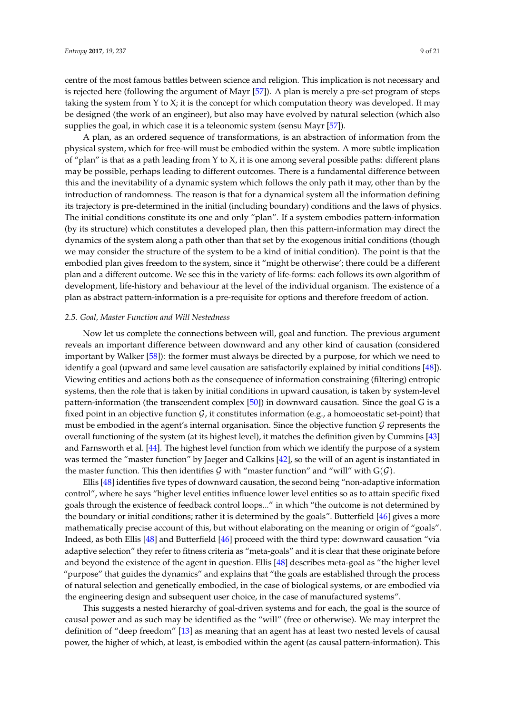centre of the most famous battles between science and religion. This implication is not necessary and is rejected here (following the argument of Mayr [\[57\]](#page-19-21)). A plan is merely a pre-set program of steps taking the system from  $Y$  to  $X$ ; it is the concept for which computation theory was developed. It may be designed (the work of an engineer), but also may have evolved by natural selection (which also supplies the goal, in which case it is a teleonomic system (sensu Mayr [\[57\]](#page-19-21)).

A plan, as an ordered sequence of transformations, is an abstraction of information from the physical system, which for free-will must be embodied within the system. A more subtle implication of "plan" is that as a path leading from Y to X, it is one among several possible paths: different plans may be possible, perhaps leading to different outcomes. There is a fundamental difference between this and the inevitability of a dynamic system which follows the only path it may, other than by the introduction of randomness. The reason is that for a dynamical system all the information defining its trajectory is pre-determined in the initial (including boundary) conditions and the laws of physics. The initial conditions constitute its one and only "plan". If a system embodies pattern-information (by its structure) which constitutes a developed plan, then this pattern-information may direct the dynamics of the system along a path other than that set by the exogenous initial conditions (though we may consider the structure of the system to be a kind of initial condition). The point is that the embodied plan gives freedom to the system, since it "might be otherwise'; there could be a different plan and a different outcome. We see this in the variety of life-forms: each follows its own algorithm of development, life-history and behaviour at the level of the individual organism. The existence of a plan as abstract pattern-information is a pre-requisite for options and therefore freedom of action.

#### *2.5. Goal, Master Function and Will Nestedness*

Now let us complete the connections between will, goal and function. The previous argument reveals an important difference between downward and any other kind of causation (considered important by Walker [\[58\]](#page-19-22)): the former must always be directed by a purpose, for which we need to identify a goal (upward and same level causation are satisfactorily explained by initial conditions [\[48\]](#page-19-12)). Viewing entities and actions both as the consequence of information constraining (filtering) entropic systems, then the role that is taken by initial conditions in upward causation, is taken by system-level pattern-information (the transcendent complex [\[50\]](#page-19-14)) in downward causation. Since the goal G is a fixed point in an objective function  $\mathcal{G}$ , it constitutes information (e.g., a homoeostatic set-point) that must be embodied in the agent's internal organisation. Since the objective function  $\mathcal G$  represents the overall functioning of the system (at its highest level), it matches the definition given by Cummins [\[43\]](#page-19-7) and Farnsworth et al. [\[44\]](#page-19-8). The highest level function from which we identify the purpose of a system was termed the "master function" by Jaeger and Calkins [\[42\]](#page-19-6), so the will of an agent is instantiated in the master function. This then identifies G with "master function" and "will" with  $G(\mathcal{G})$ .

Ellis [\[48\]](#page-19-12) identifies five types of downward causation, the second being "non-adaptive information control", where he says "higher level entities influence lower level entities so as to attain specific fixed goals through the existence of feedback control loops..." in which "the outcome is not determined by the boundary or initial conditions; rather it is determined by the goals". Butterfield [\[46\]](#page-19-10) gives a more mathematically precise account of this, but without elaborating on the meaning or origin of "goals". Indeed, as both Ellis [\[48\]](#page-19-12) and Butterfield [\[46\]](#page-19-10) proceed with the third type: downward causation "via adaptive selection" they refer to fitness criteria as "meta-goals" and it is clear that these originate before and beyond the existence of the agent in question. Ellis [\[48\]](#page-19-12) describes meta-goal as "the higher level "purpose" that guides the dynamics" and explains that "the goals are established through the process of natural selection and genetically embodied, in the case of biological systems, or are embodied via the engineering design and subsequent user choice, in the case of manufactured systems".

This suggests a nested hierarchy of goal-driven systems and for each, the goal is the source of causal power and as such may be identified as the "will" (free or otherwise). We may interpret the definition of "deep freedom" [\[13\]](#page-18-12) as meaning that an agent has at least two nested levels of causal power, the higher of which, at least, is embodied within the agent (as causal pattern-information). This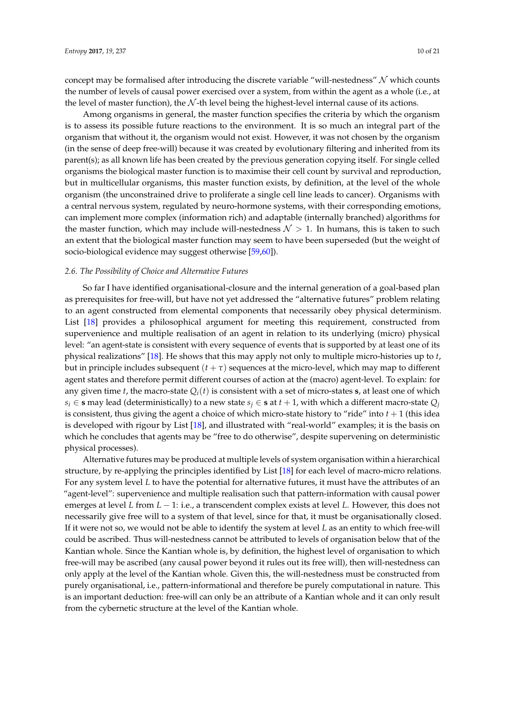concept may be formalised after introducing the discrete variable "will-nestedness"  $N$  which counts the number of levels of causal power exercised over a system, from within the agent as a whole (i.e., at the level of master function), the  $N$ -th level being the highest-level internal cause of its actions.

Among organisms in general, the master function specifies the criteria by which the organism is to assess its possible future reactions to the environment. It is so much an integral part of the organism that without it, the organism would not exist. However, it was not chosen by the organism (in the sense of deep free-will) because it was created by evolutionary filtering and inherited from its parent(s); as all known life has been created by the previous generation copying itself. For single celled organisms the biological master function is to maximise their cell count by survival and reproduction, but in multicellular organisms, this master function exists, by definition, at the level of the whole organism (the unconstrained drive to proliferate a single cell line leads to cancer). Organisms with a central nervous system, regulated by neuro-hormone systems, with their corresponding emotions, can implement more complex (information rich) and adaptable (internally branched) algorithms for the master function, which may include will-nestedness  $\mathcal{N} > 1$ . In humans, this is taken to such an extent that the biological master function may seem to have been superseded (but the weight of socio-biological evidence may suggest otherwise [\[59](#page-19-23)[,60\]](#page-19-24)).

## *2.6. The Possibility of Choice and Alternative Futures*

So far I have identified organisational-closure and the internal generation of a goal-based plan as prerequisites for free-will, but have not yet addressed the "alternative futures" problem relating to an agent constructed from elemental components that necessarily obey physical determinism. List [\[18\]](#page-18-17) provides a philosophical argument for meeting this requirement, constructed from supervenience and multiple realisation of an agent in relation to its underlying (micro) physical level: "an agent-state is consistent with every sequence of events that is supported by at least one of its physical realizations" [\[18\]](#page-18-17). He shows that this may apply not only to multiple micro-histories up to *t*, but in principle includes subsequent  $(t + \tau)$  sequences at the micro-level, which may map to different agent states and therefore permit different courses of action at the (macro) agent-level. To explain: for any given time *t*, the macro-state  $Q_i(t)$  is consistent with a set of micro-states **s**, at least one of which  $s_i \in \mathbf{s}$  may lead (deterministically) to a new state  $s_i \in \mathbf{s}$  at  $t + 1$ , with which a different macro-state  $Q_i$ is consistent, thus giving the agent a choice of which micro-state history to "ride" into *t* + 1 (this idea is developed with rigour by List [\[18\]](#page-18-17), and illustrated with "real-world" examples; it is the basis on which he concludes that agents may be "free to do otherwise", despite supervening on deterministic physical processes).

Alternative futures may be produced at multiple levels of system organisation within a hierarchical structure, by re-applying the principles identified by List [\[18\]](#page-18-17) for each level of macro-micro relations. For any system level *L* to have the potential for alternative futures, it must have the attributes of an "agent-level": supervenience and multiple realisation such that pattern-information with causal power emerges at level *L* from *L* − 1: i.e., a transcendent complex exists at level *L*. However, this does not necessarily give free will to a system of that level, since for that, it must be organisationally closed. If it were not so, we would not be able to identify the system at level *L* as an entity to which free-will could be ascribed. Thus will-nestedness cannot be attributed to levels of organisation below that of the Kantian whole. Since the Kantian whole is, by definition, the highest level of organisation to which free-will may be ascribed (any causal power beyond it rules out its free will), then will-nestedness can only apply at the level of the Kantian whole. Given this, the will-nestedness must be constructed from purely organisational, i.e., pattern-informational and therefore be purely computational in nature. This is an important deduction: free-will can only be an attribute of a Kantian whole and it can only result from the cybernetic structure at the level of the Kantian whole.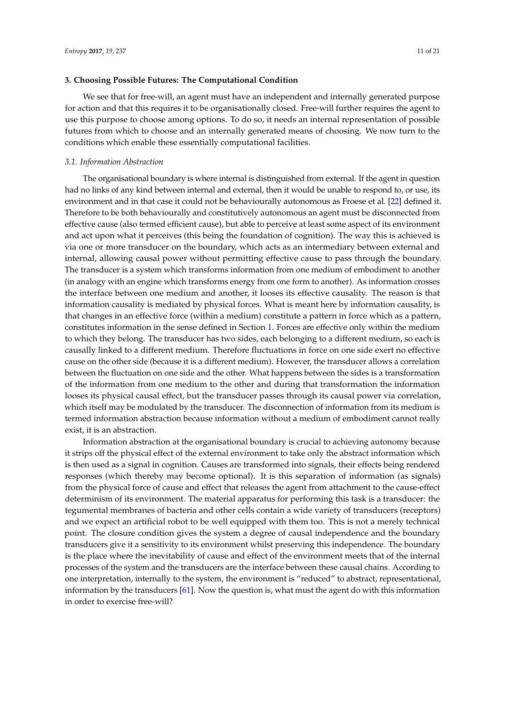## **3. Choosing Possible Futures: The Computational Condition**

We see that for free-will, an agent must have an independent and internally generated purpose for action and that this requires it to be organisationally closed. Free-will further requires the agent to use this purpose to choose among options. To do so, it needs an internal representation of possible futures from which to choose and an internally generated means of choosing. We now turn to the conditions which enable these essentially computational facilities.

## *3.1. Information Abstraction*

The organisational boundary is where internal is distinguished from external. If the agent in question had no links of any kind between internal and external, then it would be unable to respond to, or use, its environment and in that case it could not be behaviourally autonomous as Froese et al. [\[22\]](#page-18-21) defined it. Therefore to be both behaviourally and constitutively autonomous an agent must be disconnected from effective cause (also termed efficient cause), but able to perceive at least some aspect of its environment and act upon what it perceives (this being the foundation of cognition). The way this is achieved is via one or more transducer on the boundary, which acts as an intermediary between external and internal, allowing causal power without permitting effective cause to pass through the boundary. The transducer is a system which transforms information from one medium of embodiment to another (in analogy with an engine which transforms energy from one form to another). As information crosses the interface between one medium and another, it looses its effective causality. The reason is that information causality is mediated by physical forces. What is meant here by information causality, is that changes in an effective force (within a medium) constitute a pattern in force which as a pattern, constitutes information in the sense defined in Section [1.](#page-0-0) Forces are effective only within the medium to which they belong. The transducer has two sides, each belonging to a different medium, so each is causally linked to a different medium. Therefore fluctuations in force on one side exert no effective cause on the other side (because it is a different medium). However, the transducer allows a correlation between the fluctuation on one side and the other. What happens between the sides is a transformation of the information from one medium to the other and during that transformation the information looses its physical causal effect, but the transducer passes through its causal power via correlation, which itself may be modulated by the transducer. The disconnection of information from its medium is termed information abstraction because information without a medium of embodiment cannot really exist, it is an abstraction.

Information abstraction at the organisational boundary is crucial to achieving autonomy because it strips off the physical effect of the external environment to take only the abstract information which is then used as a signal in cognition. Causes are transformed into signals, their effects being rendered responses (which thereby may become optional). It is this separation of information (as signals) from the physical force of cause and effect that releases the agent from attachment to the cause-effect determinism of its environment. The material apparatus for performing this task is a transducer: the tegumental membranes of bacteria and other cells contain a wide variety of transducers (receptors) and we expect an artificial robot to be well equipped with them too. This is not a merely technical point. The closure condition gives the system a degree of causal independence and the boundary transducers give it a sensitivity to its environment whilst preserving this independence. The boundary is the place where the inevitability of cause and effect of the environment meets that of the internal processes of the system and the transducers are the interface between these causal chains. According to one interpretation, internally to the system, the environment is "reduced" to abstract, representational, information by the transducers [\[61\]](#page-19-25). Now the question is, what must the agent do with this information in order to exercise free-will?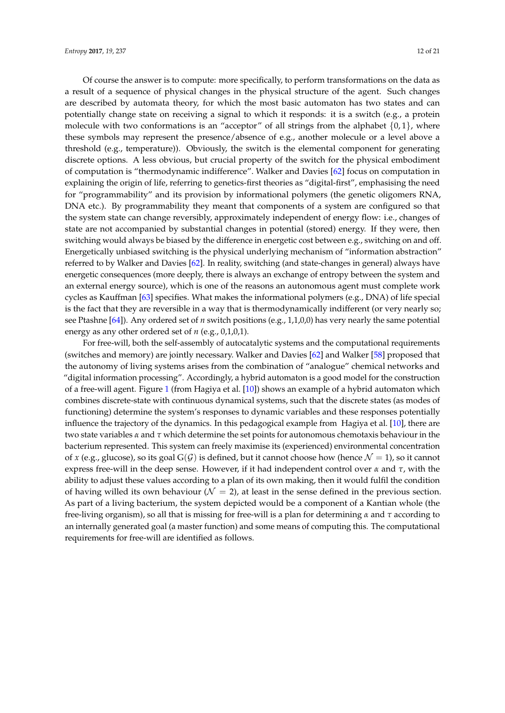Of course the answer is to compute: more specifically, to perform transformations on the data as a result of a sequence of physical changes in the physical structure of the agent. Such changes are described by automata theory, for which the most basic automaton has two states and can potentially change state on receiving a signal to which it responds: it is a switch (e.g., a protein molecule with two conformations is an "acceptor" of all strings from the alphabet  $\{0, 1\}$ , where these symbols may represent the presence/absence of e.g., another molecule or a level above a threshold (e.g., temperature)). Obviously, the switch is the elemental component for generating discrete options. A less obvious, but crucial property of the switch for the physical embodiment of computation is "thermodynamic indifference". Walker and Davies [\[62\]](#page-19-26) focus on computation in explaining the origin of life, referring to genetics-first theories as "digital-first", emphasising the need for "programmability" and its provision by informational polymers (the genetic oligomers RNA, DNA etc.). By programmability they meant that components of a system are configured so that the system state can change reversibly, approximately independent of energy flow: i.e., changes of state are not accompanied by substantial changes in potential (stored) energy. If they were, then switching would always be biased by the difference in energetic cost between e.g., switching on and off. Energetically unbiased switching is the physical underlying mechanism of "information abstraction" referred to by Walker and Davies [\[62\]](#page-19-26). In reality, switching (and state-changes in general) always have energetic consequences (more deeply, there is always an exchange of entropy between the system and an external energy source), which is one of the reasons an autonomous agent must complete work cycles as Kauffman [\[63\]](#page-19-27) specifies. What makes the informational polymers (e.g., DNA) of life special is the fact that they are reversible in a way that is thermodynamically indifferent (or very nearly so; see Ptashne [\[64\]](#page-19-28)). Any ordered set of *n* switch positions (e.g., 1,1,0,0) has very nearly the same potential energy as any other ordered set of *n* (e.g., 0,1,0,1).

For free-will, both the self-assembly of autocatalytic systems and the computational requirements (switches and memory) are jointly necessary. Walker and Davies [\[62\]](#page-19-26) and Walker [\[58\]](#page-19-22) proposed that the autonomy of living systems arises from the combination of "analogue" chemical networks and "digital information processing". Accordingly, a hybrid automaton is a good model for the construction of a free-will agent. Figure [1](#page-12-0) (from Hagiya et al. [\[10\]](#page-18-9)) shows an example of a hybrid automaton which combines discrete-state with continuous dynamical systems, such that the discrete states (as modes of functioning) determine the system's responses to dynamic variables and these responses potentially influence the trajectory of the dynamics. In this pedagogical example from Hagiya et al. [\[10\]](#page-18-9), there are two state variables *α* and *τ* which determine the set points for autonomous chemotaxis behaviour in the bacterium represented. This system can freely maximise its (experienced) environmental concentration of *x* (e.g., glucose), so its goal  $G(\mathcal{G})$  is defined, but it cannot choose how (hence  $\mathcal{N} = 1$ ), so it cannot express free-will in the deep sense. However, if it had independent control over *α* and *τ*, with the ability to adjust these values according to a plan of its own making, then it would fulfil the condition of having willed its own behaviour ( $\mathcal{N} = 2$ ), at least in the sense defined in the previous section. As part of a living bacterium, the system depicted would be a component of a Kantian whole (the free-living organism), so all that is missing for free-will is a plan for determining *α* and *τ* according to an internally generated goal (a master function) and some means of computing this. The computational requirements for free-will are identified as follows.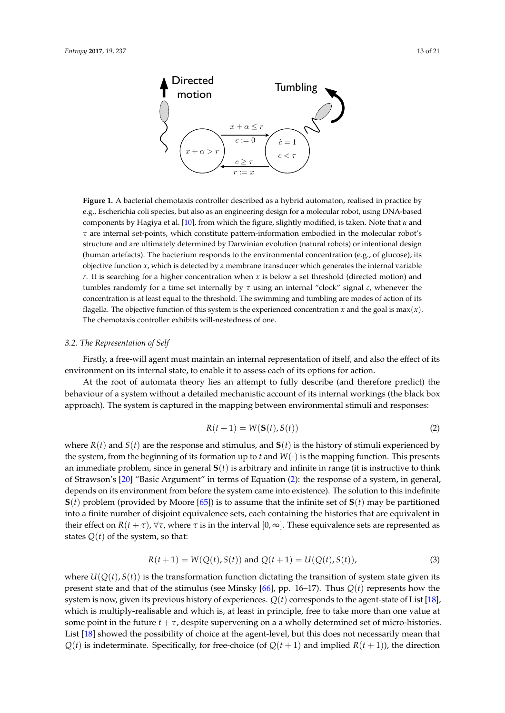<span id="page-12-0"></span>

**Directed** 

**Figure 1.** A bacterial chemotaxis controller described as a hybrid automaton, realised in practice by e.g., Escherichia coli species, but also as an engineering design for a molecular robot, using DNA-based components by Hagiya et al. [\[10\]](#page-18-9), from which the figure, slightly modified, is taken. Note that *α* and *τ* are internal set-points, which constitute pattern-information embodied in the molecular robot's structure and are ultimately determined by Darwinian evolution (natural robots) or intentional design (human artefacts). The bacterium responds to the environmental concentration (e.g., of glucose); its objective function  $x$ , which is detected by a membrane transducer which generates the internal variable *r*. It is searching for a higher concentration when *x* is below a set threshold (directed motion) and tumbles randomly for a time set internally by *τ* using an internal "clock" signal *c*, whenever the concentration is at least equal to the threshold. The swimming and tumbling are modes of action of its flagella. The objective function of this system is the experienced concentration  $x$  and the goal is max $(x)$ . The chemotaxis controller exhibits will-nestedness of one.

#### *3.2. The Representation of Self*

Firstly, a free-will agent must maintain an internal representation of itself, and also the effect of its environment on its internal state, to enable it to assess each of its options for action.

At the root of automata theory lies an attempt to fully describe (and therefore predict) the behaviour of a system without a detailed mechanistic account of its internal workings (the black box approach). The system is captured in the mapping between environmental stimuli and responses:

<span id="page-12-1"></span>
$$
R(t+1) = W(\mathbf{S}(t), S(t))
$$
\n(2)

where  $R(t)$  and  $S(t)$  are the response and stimulus, and  $S(t)$  is the history of stimuli experienced by the system, from the beginning of its formation up to  $t$  and  $W(\cdot)$  is the mapping function. This presents an immediate problem, since in general **S**(*t*) is arbitrary and infinite in range (it is instructive to think of Strawson's [\[20\]](#page-18-19) "Basic Argument" in terms of Equation [\(2\)](#page-12-1): the response of a system, in general, depends on its environment from before the system came into existence). The solution to this indefinite  **problem (provided by Moore [\[65\]](#page-19-29)) is to assume that the infinite set of**  $**S**(*t*)$  **may be partitioned** into a finite number of disjoint equivalence sets, each containing the histories that are equivalent in their effect on *R*(*t* + *τ*),  $\forall$ *τ*, where *τ* is in the interval [0, ∞]. These equivalence sets are represented as states  $Q(t)$  of the system, so that:

$$
R(t+1) = W(Q(t), S(t)) \text{ and } Q(t+1) = U(Q(t), S(t)),
$$
\n(3)

where  $U(Q(t), S(t))$  is the transformation function dictating the transition of system state given its present state and that of the stimulus (see Minsky [\[66\]](#page-19-30), pp. 16–17). Thus *Q*(*t*) represents how the system is now, given its previous history of experiences. *Q*(*t*) corresponds to the agent-state of List [\[18\]](#page-18-17), which is multiply-realisable and which is, at least in principle, free to take more than one value at some point in the future  $t + \tau$ , despite supervening on a a wholly determined set of micro-histories. List [\[18\]](#page-18-17) showed the possibility of choice at the agent-level, but this does not necessarily mean that  $Q(t)$  is indeterminate. Specifically, for free-choice (of  $Q(t+1)$  and implied  $R(t+1)$ ), the direction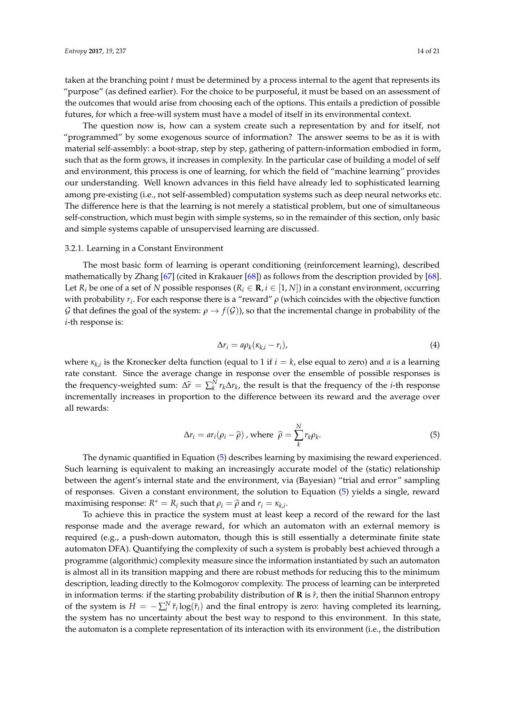taken at the branching point *t* must be determined by a process internal to the agent that represents its "purpose" (as defined earlier). For the choice to be purposeful, it must be based on an assessment of the outcomes that would arise from choosing each of the options. This entails a prediction of possible futures, for which a free-will system must have a model of itself in its environmental context.

The question now is, how can a system create such a representation by and for itself, not "programmed" by some exogenous source of information? The answer seems to be as it is with material self-assembly: a boot-strap, step by step, gathering of pattern-information embodied in form, such that as the form grows, it increases in complexity. In the particular case of building a model of self and environment, this process is one of learning, for which the field of "machine learning" provides our understanding. Well known advances in this field have already led to sophisticated learning among pre-existing (i.e., not self-assembled) computation systems such as deep neural networks etc. The difference here is that the learning is not merely a statistical problem, but one of simultaneous self-construction, which must begin with simple systems, so in the remainder of this section, only basic and simple systems capable of unsupervised learning are discussed.

#### 3.2.1. Learning in a Constant Environment

The most basic form of learning is operant conditioning (reinforcement learning), described mathematically by Zhang [\[67\]](#page-19-31) (cited in Krakauer [\[68\]](#page-20-0)) as follows from the description provided by [\[68\]](#page-20-0). Let  $R_i$  be one of a set of *N* possible responses ( $R_i \in \mathbf{R}$ ,  $i \in [1, N]$ ) in a constant environment, occurring with probability *r<sup>i</sup>* . For each response there is a "reward" *ρ* (which coincides with the objective function G that defines the goal of the system:  $\rho \to f(\mathcal{G})$ , so that the incremental change in probability of the *i*-th response is:

$$
\Delta r_i = a \rho_k (\kappa_{k,i} - r_i), \tag{4}
$$

where *κk*,*<sup>i</sup>* is the Kronecker delta function (equal to 1 if *i* = *k*, else equal to zero) and *a* is a learning rate constant. Since the average change in response over the ensemble of possible responses is the frequency-weighted sum:  $\Delta \hat{r} = \sum_{k}^{N} r_k \Delta r_k$ , the result is that the frequency of the *i*-th response incrementally increases in proportion to the difference between its reward and the average over all rewards:

<span id="page-13-0"></span>
$$
\Delta r_i = ar_i(\rho_i - \widehat{\rho}) \text{ , where } \widehat{\rho} = \sum_{k}^{N} r_k \rho_k. \tag{5}
$$

The dynamic quantified in Equation [\(5\)](#page-13-0) describes learning by maximising the reward experienced. Such learning is equivalent to making an increasingly accurate model of the (static) relationship between the agent's internal state and the environment, via (Bayesian) "trial and error" sampling of responses. Given a constant environment, the solution to Equation [\(5\)](#page-13-0) yields a single, reward maximising response:  $R^* = R_i$  such that  $\rho_i = \hat{\rho}$  and  $r_i = \kappa_{k,i}$ .

To achieve this in practice the system must at least keep a record of the reward for the last response made and the average reward, for which an automaton with an external memory is required (e.g., a push-down automaton, though this is still essentially a determinate finite state automaton DFA). Quantifying the complexity of such a system is probably best achieved through a programme (algorithmic) complexity measure since the information instantiated by such an automaton is almost all in its transition mapping and there are robust methods for reducing this to the minimum description, leading directly to the Kolmogorov complexity. The process of learning can be interpreted in information terms: if the starting probability distribution of  $\bf{R}$  is  $\tilde{r}$ , then the initial Shannon entropy of the system is  $H = -\sum_i^N \tilde{r}_i \log(\tilde{r}_i)$  and the final entropy is zero: having completed its learning, the system has no uncertainty about the best way to respond to this environment. In this state, the automaton is a complete representation of its interaction with its environment (i.e., the distribution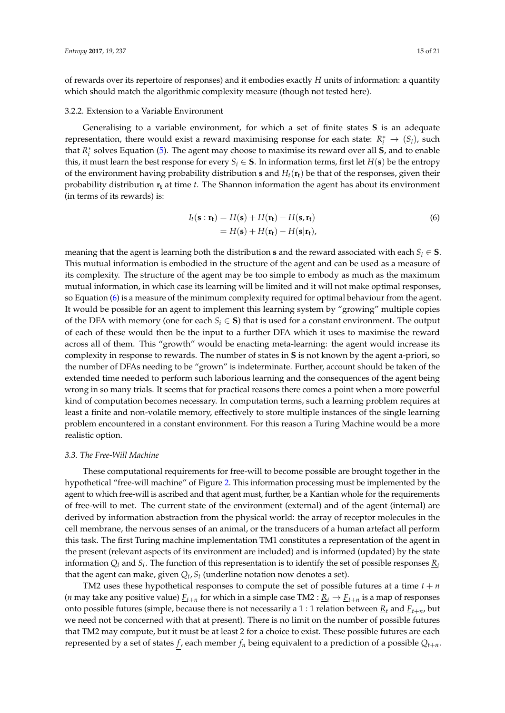of rewards over its repertoire of responses) and it embodies exactly *H* units of information: a quantity which should match the algorithmic complexity measure (though not tested here).

#### 3.2.2. Extension to a Variable Environment

Generalising to a variable environment, for which a set of finite states **S** is an adequate representation, there would exist a reward maximising response for each state:  $R_i^* \rightarrow (S_i)$ , such that *R* ∗ *i* solves Equation [\(5\)](#page-13-0). The agent may choose to maximise its reward over all **S**, and to enable this, it must learn the best response for every  $S_i \in S$ . In information terms, first let  $H(s)$  be the entropy of the environment having probability distribution **s** and  $H_t(\mathbf{r}_t)$  be that of the responses, given their probability distribution **r<sup>t</sup>** at time *t*. The Shannon information the agent has about its environment (in terms of its rewards) is:

<span id="page-14-0"></span>
$$
I_t(\mathbf{s} : \mathbf{r_t}) = H(\mathbf{s}) + H(\mathbf{r_t}) - H(\mathbf{s}, \mathbf{r_t})
$$
  
=  $H(\mathbf{s}) + H(\mathbf{r_t}) - H(\mathbf{s}|\mathbf{r_t}),$  (6)

meaning that the agent is learning both the distribution **s** and the reward associated with each  $S_i \in S$ . This mutual information is embodied in the structure of the agent and can be used as a measure of its complexity. The structure of the agent may be too simple to embody as much as the maximum mutual information, in which case its learning will be limited and it will not make optimal responses, so Equation [\(6\)](#page-14-0) is a measure of the minimum complexity required for optimal behaviour from the agent. It would be possible for an agent to implement this learning system by "growing" multiple copies of the DFA with memory (one for each  $S_i \in S$ ) that is used for a constant environment. The output of each of these would then be the input to a further DFA which it uses to maximise the reward across all of them. This "growth" would be enacting meta-learning: the agent would increase its complexity in response to rewards. The number of states in **S** is not known by the agent a-priori, so the number of DFAs needing to be "grown" is indeterminate. Further, account should be taken of the extended time needed to perform such laborious learning and the consequences of the agent being wrong in so many trials. It seems that for practical reasons there comes a point when a more powerful kind of computation becomes necessary. In computation terms, such a learning problem requires at least a finite and non-volatile memory, effectively to store multiple instances of the single learning problem encountered in a constant environment. For this reason a Turing Machine would be a more realistic option.

#### *3.3. The Free-Will Machine*

These computational requirements for free-will to become possible are brought together in the hypothetical "free-will machine" of Figure [2.](#page-15-0) This information processing must be implemented by the agent to which free-will is ascribed and that agent must, further, be a Kantian whole for the requirements of free-will to met. The current state of the environment (external) and of the agent (internal) are derived by information abstraction from the physical world: the array of receptor molecules in the cell membrane, the nervous senses of an animal, or the transducers of a human artefact all perform this task. The first Turing machine implementation TM1 constitutes a representation of the agent in the present (relevant aspects of its environment are included) and is informed (updated) by the state information  $Q_t$  and  $S_t$ . The function of this representation is to identify the set of possible responses  $\underline{R}_t$ that the agent can make, given *Q<sup>t</sup>* , *S<sup>t</sup>* (underline notation now denotes a set).

TM2 uses these hypothetical responses to compute the set of possible futures at a time  $t + n$ (*n* may take any positive value)  $\underline{F}_{t+n}$  for which in a simple case TM2 :  $\underline{R}_t\to \underline{F}_{t+n}$  is a map of responses onto possible futures (simple, because there is not necessarily a  $1:1$  relation between  $\underline{R}_t$  and  $\underline{F}_{t+n}$ , but we need not be concerned with that at present). There is no limit on the number of possible futures that TM2 may compute, but it must be at least 2 for a choice to exist. These possible futures are each represented by a set of states *f*, each member  $f_n$  being equivalent to a prediction of a possible  $Q_{t+n}$ .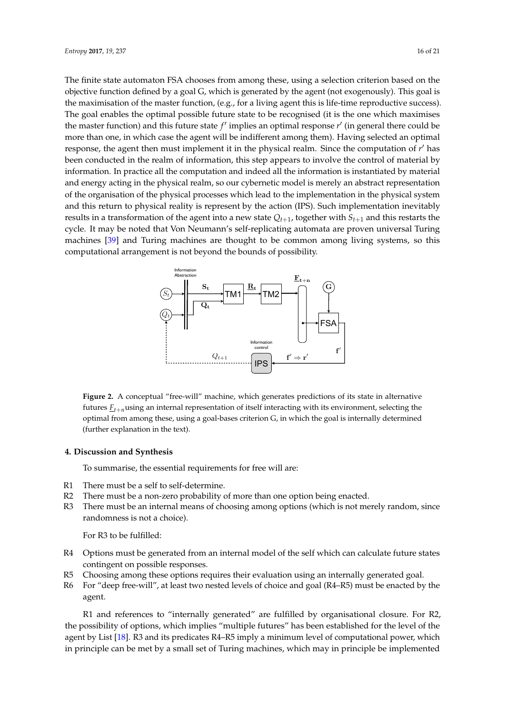The finite state automaton FSA chooses from among these, using a selection criterion based on the objective function defined by a goal G, which is generated by the agent (not exogenously). This goal is the maximisation of the master function, (e.g., for a living agent this is life-time reproductive success). The goal enables the optimal possible future state to be recognised (it is the one which maximises the master function) and this future state  $f'$  implies an optimal response  $r'$  (in general there could be more than one, in which case the agent will be indifferent among them). Having selected an optimal response, the agent then must implement it in the physical realm. Since the computation of r' has been conducted in the realm of information, this step appears to involve the control of material by information. In practice all the computation and indeed all the information is instantiated by material and energy acting in the physical realm, so our cybernetic model is merely an abstract representation of the organisation of the physical processes which lead to the implementation in the physical system and this return to physical reality is represent by the action (IPS). Such implementation inevitably results in a transformation of the agent into a new state  $Q_{t+1}$ , together with  $S_{t+1}$  and this restarts the cycle. It may be noted that Von Neumann's self-replicating automata are proven universal Turing machines [\[39\]](#page-19-3) and Turing machines are thought to be common among living systems, so this computational arrangement is not beyond the bounds of possibility.

<span id="page-15-0"></span>

**Figure 2.** A conceptual "free-will" machine, which generates predictions of its state in alternative futures  $\underline{F}_{t+n}$ using an internal representation of itself interacting with its environment, selecting the optimal from among these, using a goal-bases criterion G, in which the goal is internally determined (further explanation in the text).

# **4. Discussion and Synthesis**

To summarise, the essential requirements for free will are:

- R1 There must be a self to self-determine.
- R2 There must be a non-zero probability of more than one option being enacted.
- R3 There must be an internal means of choosing among options (which is not merely random, since randomness is not a choice).

For R3 to be fulfilled:

- R4 Options must be generated from an internal model of the self which can calculate future states contingent on possible responses.
- R5 Choosing among these options requires their evaluation using an internally generated goal.
- R6 For "deep free-will", at least two nested levels of choice and goal (R4–R5) must be enacted by the agent.

R1 and references to "internally generated" are fulfilled by organisational closure. For R2, the possibility of options, which implies "multiple futures" has been established for the level of the agent by List [\[18\]](#page-18-17). R3 and its predicates R4–R5 imply a minimum level of computational power, which in principle can be met by a small set of Turing machines, which may in principle be implemented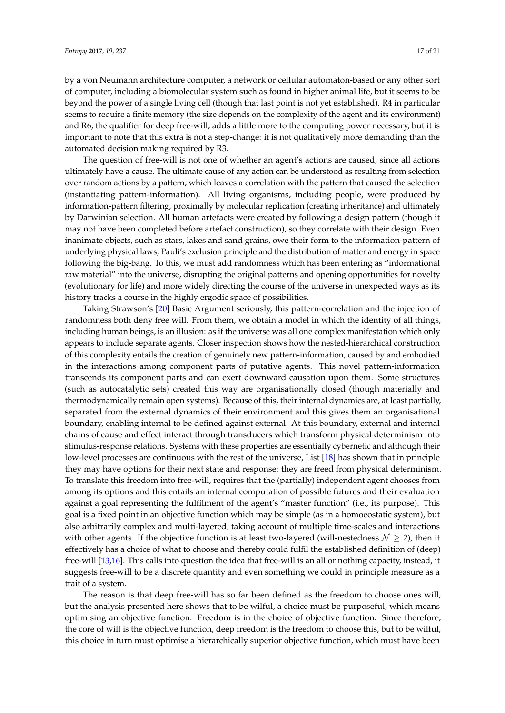by a von Neumann architecture computer, a network or cellular automaton-based or any other sort of computer, including a biomolecular system such as found in higher animal life, but it seems to be beyond the power of a single living cell (though that last point is not yet established). R4 in particular seems to require a finite memory (the size depends on the complexity of the agent and its environment) and R6, the qualifier for deep free-will, adds a little more to the computing power necessary, but it is important to note that this extra is not a step-change: it is not qualitatively more demanding than the automated decision making required by R3.

The question of free-will is not one of whether an agent's actions are caused, since all actions ultimately have a cause. The ultimate cause of any action can be understood as resulting from selection over random actions by a pattern, which leaves a correlation with the pattern that caused the selection (instantiating pattern-information). All living organisms, including people, were produced by information-pattern filtering, proximally by molecular replication (creating inheritance) and ultimately by Darwinian selection. All human artefacts were created by following a design pattern (though it may not have been completed before artefact construction), so they correlate with their design. Even inanimate objects, such as stars, lakes and sand grains, owe their form to the information-pattern of underlying physical laws, Pauli's exclusion principle and the distribution of matter and energy in space following the big-bang. To this, we must add randomness which has been entering as "informational raw material" into the universe, disrupting the original patterns and opening opportunities for novelty (evolutionary for life) and more widely directing the course of the universe in unexpected ways as its history tracks a course in the highly ergodic space of possibilities.

Taking Strawson's [\[20\]](#page-18-19) Basic Argument seriously, this pattern-correlation and the injection of randomness both deny free will. From them, we obtain a model in which the identity of all things, including human beings, is an illusion: as if the universe was all one complex manifestation which only appears to include separate agents. Closer inspection shows how the nested-hierarchical construction of this complexity entails the creation of genuinely new pattern-information, caused by and embodied in the interactions among component parts of putative agents. This novel pattern-information transcends its component parts and can exert downward causation upon them. Some structures (such as autocatalytic sets) created this way are organisationally closed (though materially and thermodynamically remain open systems). Because of this, their internal dynamics are, at least partially, separated from the external dynamics of their environment and this gives them an organisational boundary, enabling internal to be defined against external. At this boundary, external and internal chains of cause and effect interact through transducers which transform physical determinism into stimulus-response relations. Systems with these properties are essentially cybernetic and although their low-level processes are continuous with the rest of the universe, List [\[18\]](#page-18-17) has shown that in principle they may have options for their next state and response: they are freed from physical determinism. To translate this freedom into free-will, requires that the (partially) independent agent chooses from among its options and this entails an internal computation of possible futures and their evaluation against a goal representing the fulfilment of the agent's "master function" (i.e., its purpose). This goal is a fixed point in an objective function which may be simple (as in a homoeostatic system), but also arbitrarily complex and multi-layered, taking account of multiple time-scales and interactions with other agents. If the objective function is at least two-layered (will-nestedness  $\mathcal{N} \geq 2$ ), then it effectively has a choice of what to choose and thereby could fulfil the established definition of (deep) free-will [\[13,](#page-18-12)[16\]](#page-18-15). This calls into question the idea that free-will is an all or nothing capacity, instead, it suggests free-will to be a discrete quantity and even something we could in principle measure as a trait of a system.

The reason is that deep free-will has so far been defined as the freedom to choose ones will, but the analysis presented here shows that to be wilful, a choice must be purposeful, which means optimising an objective function. Freedom is in the choice of objective function. Since therefore, the core of will is the objective function, deep freedom is the freedom to choose this, but to be wilful, this choice in turn must optimise a hierarchically superior objective function, which must have been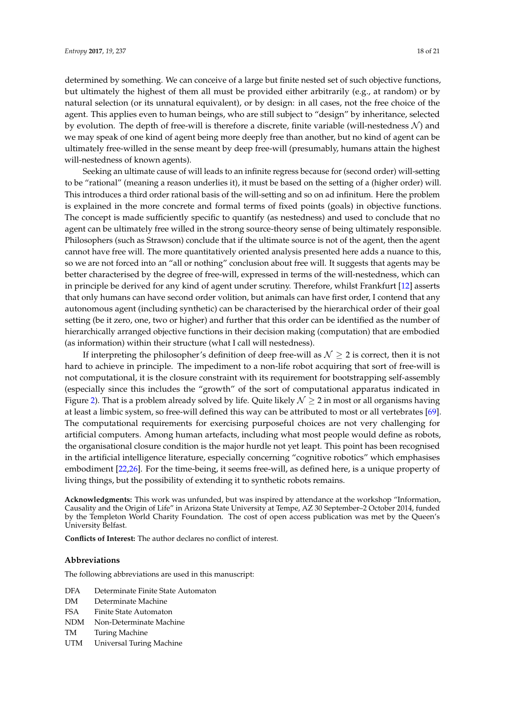determined by something. We can conceive of a large but finite nested set of such objective functions, but ultimately the highest of them all must be provided either arbitrarily (e.g., at random) or by natural selection (or its unnatural equivalent), or by design: in all cases, not the free choice of the agent. This applies even to human beings, who are still subject to "design" by inheritance, selected by evolution. The depth of free-will is therefore a discrete, finite variable (will-nestedness  $\mathcal{N}$ ) and we may speak of one kind of agent being more deeply free than another, but no kind of agent can be

will-nestedness of known agents). Seeking an ultimate cause of will leads to an infinite regress because for (second order) will-setting to be "rational" (meaning a reason underlies it), it must be based on the setting of a (higher order) will. This introduces a third order rational basis of the will-setting and so on ad infinitum. Here the problem is explained in the more concrete and formal terms of fixed points (goals) in objective functions. The concept is made sufficiently specific to quantify (as nestedness) and used to conclude that no agent can be ultimately free willed in the strong source-theory sense of being ultimately responsible. Philosophers (such as Strawson) conclude that if the ultimate source is not of the agent, then the agent cannot have free will. The more quantitatively oriented analysis presented here adds a nuance to this, so we are not forced into an "all or nothing" conclusion about free will. It suggests that agents may be better characterised by the degree of free-will, expressed in terms of the will-nestedness, which can in principle be derived for any kind of agent under scrutiny. Therefore, whilst Frankfurt [\[12\]](#page-18-11) asserts that only humans can have second order volition, but animals can have first order, I contend that any autonomous agent (including synthetic) can be characterised by the hierarchical order of their goal setting (be it zero, one, two or higher) and further that this order can be identified as the number of hierarchically arranged objective functions in their decision making (computation) that are embodied (as information) within their structure (what I call will nestedness).

ultimately free-willed in the sense meant by deep free-will (presumably, humans attain the highest

If interpreting the philosopher's definition of deep free-will as  $\mathcal{N} \geq 2$  is correct, then it is not hard to achieve in principle. The impediment to a non-life robot acquiring that sort of free-will is not computational, it is the closure constraint with its requirement for bootstrapping self-assembly (especially since this includes the "growth" of the sort of computational apparatus indicated in Figure [2\)](#page-15-0). That is a problem already solved by life. Quite likely  $\mathcal{N} \geq 2$  in most or all organisms having at least a limbic system, so free-will defined this way can be attributed to most or all vertebrates [\[69\]](#page-20-1). The computational requirements for exercising purposeful choices are not very challenging for artificial computers. Among human artefacts, including what most people would define as robots, the organisational closure condition is the major hurdle not yet leapt. This point has been recognised in the artificial intelligence literature, especially concerning "cognitive robotics" which emphasises embodiment [\[22](#page-18-21)[,26\]](#page-18-25). For the time-being, it seems free-will, as defined here, is a unique property of living things, but the possibility of extending it to synthetic robots remains.

**Acknowledgments:** This work was unfunded, but was inspired by attendance at the workshop "Information, Causality and the Origin of Life" in Arizona State University at Tempe, AZ 30 September–2 October 2014, funded by the Templeton World Charity Foundation. The cost of open access publication was met by the Queen's University Belfast.

**Conflicts of Interest:** The author declares no conflict of interest.

#### **Abbreviations**

The following abbreviations are used in this manuscript:

- DFA Determinate Finite State Automaton
- DM Determinate Machine
- FSA Finite State Automaton
- NDM Non-Determinate Machine
- TM Turing Machine
- UTM Universal Turing Machine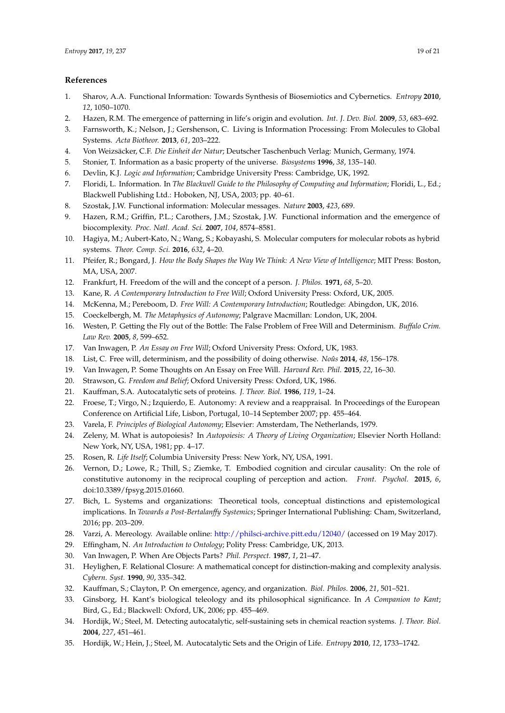## **References**

- <span id="page-18-0"></span>1. Sharov, A.A. Functional Information: Towards Synthesis of Biosemiotics and Cybernetics. *Entropy* **2010**, *12*, 1050–1070.
- <span id="page-18-1"></span>2. Hazen, R.M. The emergence of patterning in life's origin and evolution. *Int. J. Dev. Biol.* **2009**, *53*, 683–692.
- <span id="page-18-2"></span>3. Farnsworth, K.; Nelson, J.; Gershenson, C. Living is Information Processing: From Molecules to Global Systems. *Acta Biotheor.* **2013**, *61*, 203–222.
- <span id="page-18-3"></span>4. Von Weizsäcker, C.F. *Die Einheit der Natur*; Deutscher Taschenbuch Verlag: Munich, Germany, 1974.
- <span id="page-18-4"></span>5. Stonier, T. Information as a basic property of the universe. *Biosystems* **1996**, *38*, 135–140.
- <span id="page-18-5"></span>6. Devlin, K.J. *Logic and Information*; Cambridge University Press: Cambridge, UK, 1992.
- <span id="page-18-6"></span>7. Floridi, L. Information. In *The Blackwell Guide to the Philosophy of Computing and Information*; Floridi, L., Ed.; Blackwell Publishing Ltd.: Hoboken, NJ, USA, 2003; pp. 40–61.
- <span id="page-18-7"></span>8. Szostak, J.W. Functional information: Molecular messages. *Nature* **2003**, *423*, 689.
- <span id="page-18-8"></span>9. Hazen, R.M.; Griffin, P.L.; Carothers, J.M.; Szostak, J.W. Functional information and the emergence of biocomplexity. *Proc. Natl. Acad. Sci.* **2007**, *104*, 8574–8581.
- <span id="page-18-9"></span>10. Hagiya, M.; Aubert-Kato, N.; Wang, S.; Kobayashi, S. Molecular computers for molecular robots as hybrid systems. *Theor. Comp. Sci.* **2016**, *632*, 4–20.
- <span id="page-18-10"></span>11. Pfeifer, R.; Bongard, J. *How the Body Shapes the Way We Think: A New View of Intelligence*; MIT Press: Boston, MA, USA, 2007.
- <span id="page-18-11"></span>12. Frankfurt, H. Freedom of the will and the concept of a person. *J. Philos.* **1971**, *68*, 5–20.
- <span id="page-18-12"></span>13. Kane, R. *A Contemporary Introduction to Free Will*; Oxford University Press: Oxford, UK, 2005.
- <span id="page-18-13"></span>14. McKenna, M.; Pereboom, D. *Free Will: A Contemporary Introduction*; Routledge: Abingdon, UK, 2016.
- <span id="page-18-14"></span>15. Coeckelbergh, M. *The Metaphysics of Autonomy*; Palgrave Macmillan: London, UK, 2004.
- <span id="page-18-15"></span>16. Westen, P. Getting the Fly out of the Bottle: The False Problem of Free Will and Determinism. *Buffalo Crim. Law Rev.* **2005**, *8*, 599–652.
- <span id="page-18-16"></span>17. Van Inwagen, P. *An Essay on Free Will*; Oxford University Press: Oxford, UK, 1983.
- <span id="page-18-17"></span>18. List, C. Free will, determinism, and the possibility of doing otherwise. *Noûs* **2014**, *48*, 156–178.
- <span id="page-18-18"></span>19. Van Inwagen, P. Some Thoughts on An Essay on Free Will. *Harvard Rev. Phil.* **2015**, *22*, 16–30.
- <span id="page-18-19"></span>20. Strawson, G. *Freedom and Belief*; Oxford University Press: Oxford, UK, 1986.
- <span id="page-18-20"></span>21. Kauffman, S.A. Autocatalytic sets of proteins. *J. Theor. Biol.* **1986**, *119*, 1–24.
- <span id="page-18-21"></span>22. Froese, T.; Virgo, N.; Izquierdo, E. Autonomy: A review and a reappraisal. In Proceedings of the European Conference on Artificial Life, Lisbon, Portugal, 10–14 September 2007; pp. 455–464.
- <span id="page-18-22"></span>23. Varela, F. *Principles of Biological Autonomy*; Elsevier: Amsterdam, The Netherlands, 1979.
- <span id="page-18-23"></span>24. Zeleny, M. What is autopoiesis? In *Autopoiesis: A Theory of Living Organization*; Elsevier North Holland: New York, NY, USA, 1981; pp. 4–17.
- <span id="page-18-24"></span>25. Rosen, R. *Life Itself*; Columbia University Press: New York, NY, USA, 1991.
- <span id="page-18-25"></span>26. Vernon, D.; Lowe, R.; Thill, S.; Ziemke, T. Embodied cognition and circular causality: On the role of constitutive autonomy in the reciprocal coupling of perception and action. *Front. Psychol.* **2015**, *6*, doi:10.3389/fpsyg.2015.01660.
- <span id="page-18-26"></span>27. Bich, L. Systems and organizations: Theoretical tools, conceptual distinctions and epistemological implications. In *Towards a Post-Bertalanffy Systemics*; Springer International Publishing: Cham, Switzerland, 2016; pp. 203–209.
- <span id="page-18-27"></span>28. Varzi, A. Mereology. Available online: [http://philsci-archive.pitt.edu/12040/](https://plato.stanford.edu/archives/win2016/entries/mereology/) (accessed on 19 May 2017).
- <span id="page-18-28"></span>29. Effingham, N. *An Introduction to Ontology*; Polity Press: Cambridge, UK, 2013.
- <span id="page-18-29"></span>30. Van Inwagen, P. When Are Objects Parts? *Phil. Perspect.* **1987**, *1*, 21–47.
- <span id="page-18-30"></span>31. Heylighen, F. Relational Closure: A mathematical concept for distinction-making and complexity analysis. *Cybern. Syst.* **1990**, *90*, 335–342.
- <span id="page-18-31"></span>32. Kauffman, S.; Clayton, P. On emergence, agency, and organization. *Biol. Philos.* **2006**, *21*, 501–521.
- <span id="page-18-32"></span>33. Ginsborg, H. Kant's biological teleology and its philosophical significance. In *A Companion to Kant*; Bird, G., Ed.; Blackwell: Oxford, UK, 2006; pp. 455–469.
- <span id="page-18-33"></span>34. Hordijk, W.; Steel, M. Detecting autocatalytic, self-sustaining sets in chemical reaction systems. *J. Theor. Biol.* **2004**, *227*, 451–461.
- <span id="page-18-34"></span>35. Hordijk, W.; Hein, J.; Steel, M. Autocatalytic Sets and the Origin of Life. *Entropy* **2010**, *12*, 1733–1742.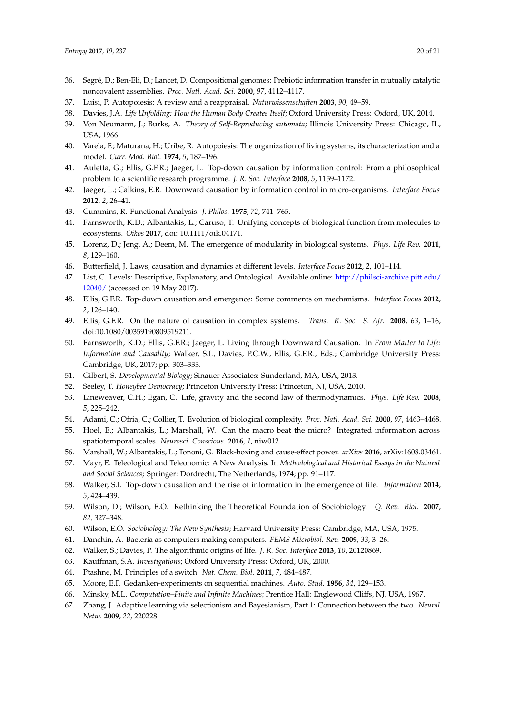- <span id="page-19-0"></span>36. Segré, D.; Ben-Eli, D.; Lancet, D. Compositional genomes: Prebiotic information transfer in mutually catalytic noncovalent assemblies. *Proc. Natl. Acad. Sci.* **2000**, *97*, 4112–4117.
- <span id="page-19-1"></span>37. Luisi, P. Autopoiesis: A review and a reappraisal. *Naturwissenschaften* **2003**, *90*, 49–59.
- <span id="page-19-2"></span>38. Davies, J.A. *Life Unfolding: How the Human Body Creates Itself*; Oxford University Press: Oxford, UK, 2014.
- <span id="page-19-3"></span>39. Von Neumann, J.; Burks, A. *Theory of Self-Reproducing automata*; Illinois University Press: Chicago, IL, USA, 1966.
- <span id="page-19-4"></span>40. Varela, F.; Maturana, H.; Uribe, R. Autopoiesis: The organization of living systems, its characterization and a model. *Curr. Mod. Biol.* **1974**, *5*, 187–196.
- <span id="page-19-5"></span>41. Auletta, G.; Ellis, G.F.R.; Jaeger, L. Top-down causation by information control: From a philosophical problem to a scientific research programme. *J. R. Soc. Interface* **2008**, *5*, 1159–1172.
- <span id="page-19-6"></span>42. Jaeger, L.; Calkins, E.R. Downward causation by information control in micro-organisms. *Interface Focus* **2012**, *2*, 26–41.
- <span id="page-19-7"></span>43. Cummins, R. Functional Analysis. *J. Philos.* **1975**, *72*, 741–765.
- <span id="page-19-8"></span>44. Farnsworth, K.D.; Albantakis, L.; Caruso, T. Unifying concepts of biological function from molecules to ecosystems. *Oikos* **2017**, doi: 10.1111/oik.04171.
- <span id="page-19-9"></span>45. Lorenz, D.; Jeng, A.; Deem, M. The emergence of modularity in biological systems. *Phys. Life Rev.* **2011**, *8*, 129–160.
- <span id="page-19-10"></span>46. Butterfield, J. Laws, causation and dynamics at different levels. *Interface Focus* **2012**, *2*, 101–114.
- <span id="page-19-11"></span>47. List, C. Levels: Descriptive, Explanatory, and Ontological. Available online: [http://philsci-archive.pitt.edu/](http://philsci-archive.pitt.edu/12040/) [12040/](http://philsci-archive.pitt.edu/12040/) (accessed on 19 May 2017).
- <span id="page-19-12"></span>48. Ellis, G.F.R. Top-down causation and emergence: Some comments on mechanisms. *Interface Focus* **2012**, *2*, 126–140.
- <span id="page-19-13"></span>49. Ellis, G.F.R. On the nature of causation in complex systems. *Trans. R. Soc. S. Afr.* **2008**, *63*, 1–16, doi:10.1080/00359190809519211.
- <span id="page-19-14"></span>50. Farnsworth, K.D.; Ellis, G.F.R.; Jaeger, L. Living through Downward Causation. In *From Matter to Life: Information and Causality*; Walker, S.I., Davies, P.C.W., Ellis, G.F.R., Eds.; Cambridge University Press: Cambridge, UK, 2017; pp. 303–333.
- <span id="page-19-15"></span>51. Gilbert, S. *Developmental Biology*; Sinauer Associates: Sunderland, MA, USA, 2013.
- <span id="page-19-16"></span>52. Seeley, T. *Honeybee Democracy*; Princeton University Press: Princeton, NJ, USA, 2010.
- <span id="page-19-17"></span>53. Lineweaver, C.H.; Egan, C. Life, gravity and the second law of thermodynamics. *Phys. Life Rev.* **2008**, *5*, 225–242.
- <span id="page-19-18"></span>54. Adami, C.; Ofria, C.; Collier, T. Evolution of biological complexity. *Proc. Natl. Acad. Sci.* **2000**, *97*, 4463–4468.
- <span id="page-19-19"></span>55. Hoel, E.; Albantakis, L.; Marshall, W. Can the macro beat the micro? Integrated information across spatiotemporal scales. *Neurosci. Conscious.* **2016**, *1*, niw012.
- <span id="page-19-20"></span>56. Marshall, W.; Albantakis, L.; Tononi, G. Black-boxing and cause-effect power. *arXivs* **2016**, arXiv:1608.03461.
- <span id="page-19-21"></span>57. Mayr, E. Teleological and Teleonomic: A New Analysis. In *Methodological and Historical Essays in the Natural and Social Sciences*; Springer: Dordrecht, The Netherlands, 1974; pp. 91–117.
- <span id="page-19-22"></span>58. Walker, S.I. Top-down causation and the rise of information in the emergence of life. *Information* **2014**, *5*, 424–439.
- <span id="page-19-23"></span>59. Wilson, D.; Wilson, E.O. Rethinking the Theoretical Foundation of Sociobiology. *Q. Rev. Biol.* **2007**, *82*, 327–348.
- <span id="page-19-25"></span><span id="page-19-24"></span>60. Wilson, E.O. *Sociobiology: The New Synthesis*; Harvard University Press: Cambridge, MA, USA, 1975.
- 61. Danchin, A. Bacteria as computers making computers. *FEMS Microbiol. Rev.* **2009**, *33*, 3–26.
- <span id="page-19-26"></span>62. Walker, S.; Davies, P. The algorithmic origins of life. *J. R. Soc. Interface* **2013**, *10*, 20120869.
- <span id="page-19-27"></span>63. Kauffman, S.A. *Investigations*; Oxford University Press: Oxford, UK, 2000.
- <span id="page-19-28"></span>64. Ptashne, M. Principles of a switch. *Nat. Chem. Biol.* **2011**, *7*, 484–487.
- <span id="page-19-29"></span>65. Moore, E.F. Gedanken-experiments on sequential machines. *Auto. Stud.* **1956**, *34*, 129–153.
- <span id="page-19-30"></span>66. Minsky, M.L. *Computation–Finite and Infinite Machines*; Prentice Hall: Englewood Cliffs, NJ, USA, 1967.
- <span id="page-19-31"></span>67. Zhang, J. Adaptive learning via selectionism and Bayesianism, Part 1: Connection between the two. *Neural Netw.* **2009**, *22*, 220228.